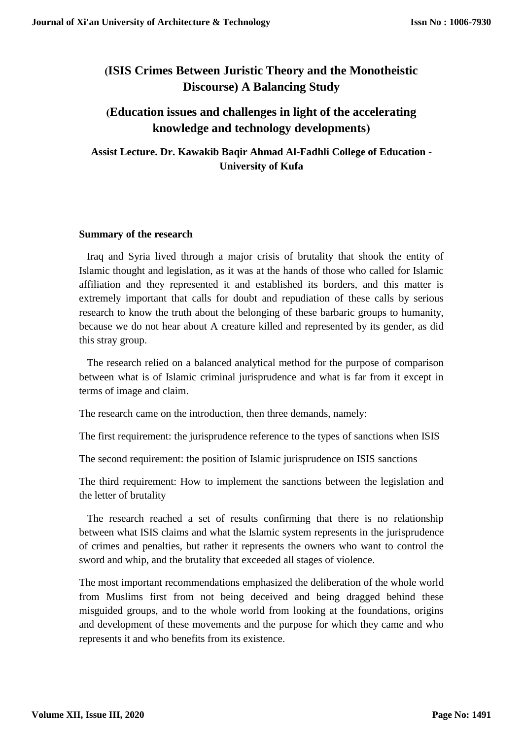# **)ISIS Crimes Between Juristic Theory and the Monotheistic Discourse) A Balancing Study**

## **)Education issues and challenges in light of the accelerating knowledge and technology developments(**

**Assist Lecture. Dr. Kawakib Baqir Ahmad Al-Fadhli College of Education - University of Kufa**

#### **Summary of the research**

Iraq and Syria lived through a major crisis of brutality that shook the entity of Islamic thought and legislation, as it was at the hands of those who called for Islamic affiliation and they represented it and established its borders, and this matter is extremely important that calls for doubt and repudiation of these calls by serious research to know the truth about the belonging of these barbaric groups to humanity, because we do not hear about A creature killed and represented by its gender, as did this stray group.

The research relied on a balanced analytical method for the purpose of comparison between what is of Islamic criminal jurisprudence and what is far from it except in terms of image and claim.

The research came on the introduction, then three demands, namely:

The first requirement: the jurisprudence reference to the types of sanctions when ISIS

The second requirement: the position of Islamic jurisprudence on ISIS sanctions

The third requirement: How to implement the sanctions between the legislation and the letter of brutality

The research reached a set of results confirming that there is no relationship between what ISIS claims and what the Islamic system represents in the jurisprudence of crimes and penalties, but rather it represents the owners who want to control the sword and whip, and the brutality that exceeded all stages of violence.

The most important recommendations emphasized the deliberation of the whole world from Muslims first from not being deceived and being dragged behind these misguided groups, and to the whole world from looking at the foundations, origins and development of these movements and the purpose for which they came and who represents it and who benefits from its existence.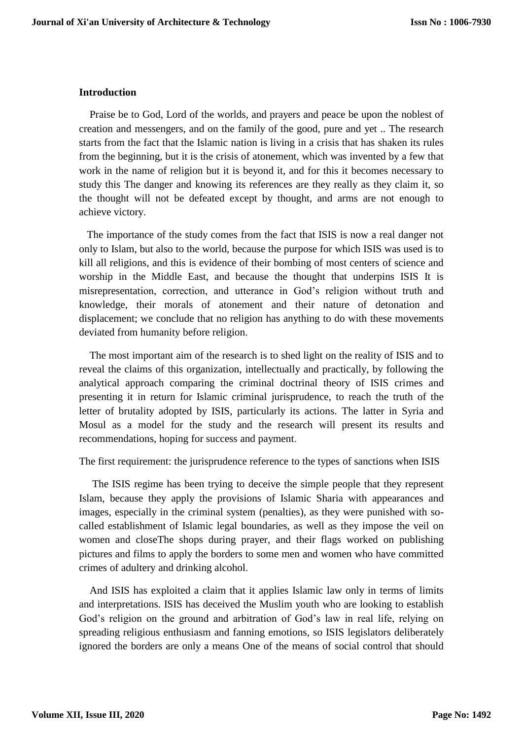#### **Introduction**

Praise be to God, Lord of the worlds, and prayers and peace be upon the noblest of creation and messengers, and on the family of the good, pure and yet .. The research starts from the fact that the Islamic nation is living in a crisis that has shaken its rules from the beginning, but it is the crisis of atonement, which was invented by a few that work in the name of religion but it is beyond it, and for this it becomes necessary to study this The danger and knowing its references are they really as they claim it, so the thought will not be defeated except by thought, and arms are not enough to achieve victory.

The importance of the study comes from the fact that ISIS is now a real danger not only to Islam, but also to the world, because the purpose for which ISIS was used is to kill all religions, and this is evidence of their bombing of most centers of science and worship in the Middle East, and because the thought that underpins ISIS It is misrepresentation, correction, and utterance in God's religion without truth and knowledge, their morals of atonement and their nature of detonation and displacement; we conclude that no religion has anything to do with these movements deviated from humanity before religion.

The most important aim of the research is to shed light on the reality of ISIS and to reveal the claims of this organization, intellectually and practically, by following the analytical approach comparing the criminal doctrinal theory of ISIS crimes and presenting it in return for Islamic criminal jurisprudence, to reach the truth of the letter of brutality adopted by ISIS, particularly its actions. The latter in Syria and Mosul as a model for the study and the research will present its results and recommendations, hoping for success and payment.

The first requirement: the jurisprudence reference to the types of sanctions when ISIS

The ISIS regime has been trying to deceive the simple people that they represent Islam, because they apply the provisions of Islamic Sharia with appearances and images, especially in the criminal system (penalties), as they were punished with socalled establishment of Islamic legal boundaries, as well as they impose the veil on women and closeThe shops during prayer, and their flags worked on publishing pictures and films to apply the borders to some men and women who have committed crimes of adultery and drinking alcohol.

And ISIS has exploited a claim that it applies Islamic law only in terms of limits and interpretations. ISIS has deceived the Muslim youth who are looking to establish God's religion on the ground and arbitration of God's law in real life, relying on spreading religious enthusiasm and fanning emotions, so ISIS legislators deliberately ignored the borders are only a means One of the means of social control that should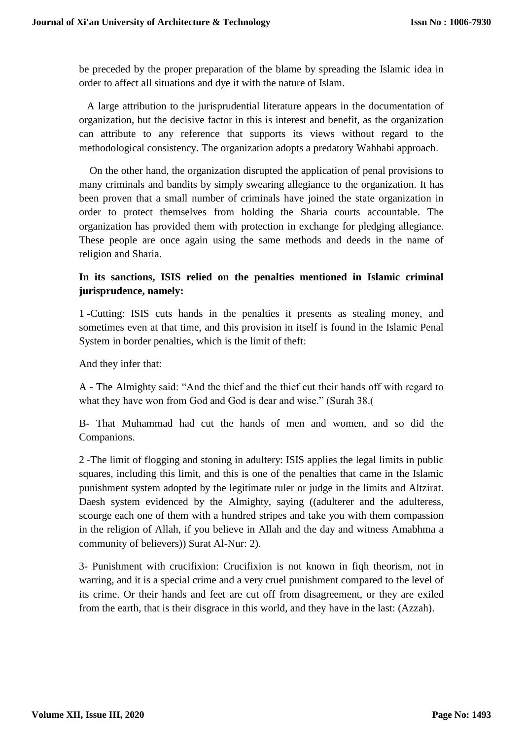be preceded by the proper preparation of the blame by spreading the Islamic idea in order to affect all situations and dye it with the nature of Islam.

A large attribution to the jurisprudential literature appears in the documentation of organization, but the decisive factor in this is interest and benefit, as the organization can attribute to any reference that supports its views without regard to the methodological consistency. The organization adopts a predatory Wahhabi approach.

On the other hand, the organization disrupted the application of penal provisions to many criminals and bandits by simply swearing allegiance to the organization. It has been proven that a small number of criminals have joined the state organization in order to protect themselves from holding the Sharia courts accountable. The organization has provided them with protection in exchange for pledging allegiance. These people are once again using the same methods and deeds in the name of religion and Sharia.

## **In its sanctions, ISIS relied on the penalties mentioned in Islamic criminal jurisprudence, namely:**

1 -Cutting: ISIS cuts hands in the penalties it presents as stealing money, and sometimes even at that time, and this provision in itself is found in the Islamic Penal System in border penalties, which is the limit of theft:

And they infer that:

A - The Almighty said: "And the thief and the thief cut their hands off with regard to what they have won from God and God is dear and wise." (Surah 38.)

B- That Muhammad had cut the hands of men and women, and so did the Companions.

2 -The limit of flogging and stoning in adultery: ISIS applies the legal limits in public squares, including this limit, and this is one of the penalties that came in the Islamic punishment system adopted by the legitimate ruler or judge in the limits and Altzirat. Daesh system evidenced by the Almighty, saying ((adulterer and the adulteress, scourge each one of them with a hundred stripes and take you with them compassion in the religion of Allah, if you believe in Allah and the day and witness Amabhma a community of believers)) Surat Al-Nur: 2).

3- Punishment with crucifixion: Crucifixion is not known in fiqh theorism, not in warring, and it is a special crime and a very cruel punishment compared to the level of its crime. Or their hands and feet are cut off from disagreement, or they are exiled from the earth, that is their disgrace in this world, and they have in the last: (Azzah).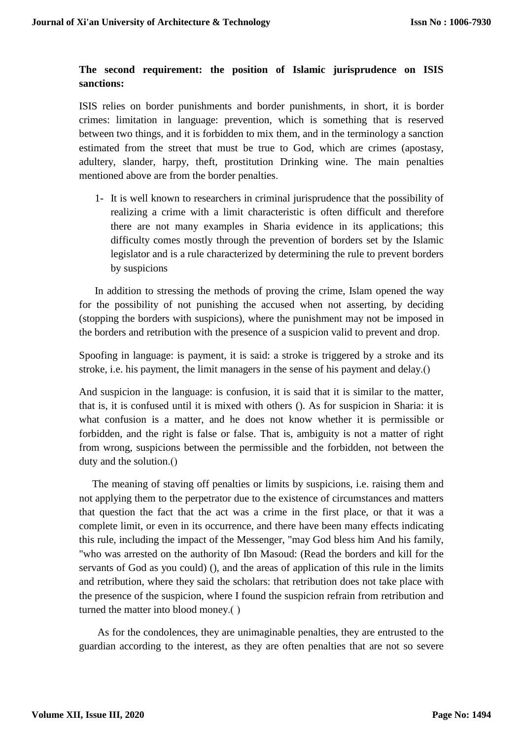## **The second requirement: the position of Islamic jurisprudence on ISIS sanctions:**

ISIS relies on border punishments and border punishments, in short, it is border crimes: limitation in language: prevention, which is something that is reserved between two things, and it is forbidden to mix them, and in the terminology a sanction estimated from the street that must be true to God, which are crimes (apostasy, adultery, slander, harpy, theft, prostitution Drinking wine. The main penalties mentioned above are from the border penalties.

1- It is well known to researchers in criminal jurisprudence that the possibility of realizing a crime with a limit characteristic is often difficult and therefore there are not many examples in Sharia evidence in its applications; this difficulty comes mostly through the prevention of borders set by the Islamic legislator and is a rule characterized by determining the rule to prevent borders by suspicions

In addition to stressing the methods of proving the crime, Islam opened the way for the possibility of not punishing the accused when not asserting, by deciding (stopping the borders with suspicions), where the punishment may not be imposed in the borders and retribution with the presence of a suspicion valid to prevent and drop.

Spoofing in language: is payment, it is said: a stroke is triggered by a stroke and its stroke, i.e. his payment, the limit managers in the sense of his payment and delay.()

And suspicion in the language: is confusion, it is said that it is similar to the matter, that is, it is confused until it is mixed with others (). As for suspicion in Sharia: it is what confusion is a matter, and he does not know whether it is permissible or forbidden, and the right is false or false. That is, ambiguity is not a matter of right from wrong, suspicions between the permissible and the forbidden, not between the duty and the solution.()

The meaning of staving off penalties or limits by suspicions, i.e. raising them and not applying them to the perpetrator due to the existence of circumstances and matters that question the fact that the act was a crime in the first place, or that it was a complete limit, or even in its occurrence, and there have been many effects indicating this rule, including the impact of the Messenger, "may God bless him And his family, "who was arrested on the authority of Ibn Masoud: (Read the borders and kill for the servants of God as you could) (), and the areas of application of this rule in the limits and retribution, where they said the scholars: that retribution does not take place with the presence of the suspicion, where I found the suspicion refrain from retribution and turned the matter into blood money.()

As for the condolences, they are unimaginable penalties, they are entrusted to the guardian according to the interest, as they are often penalties that are not so severe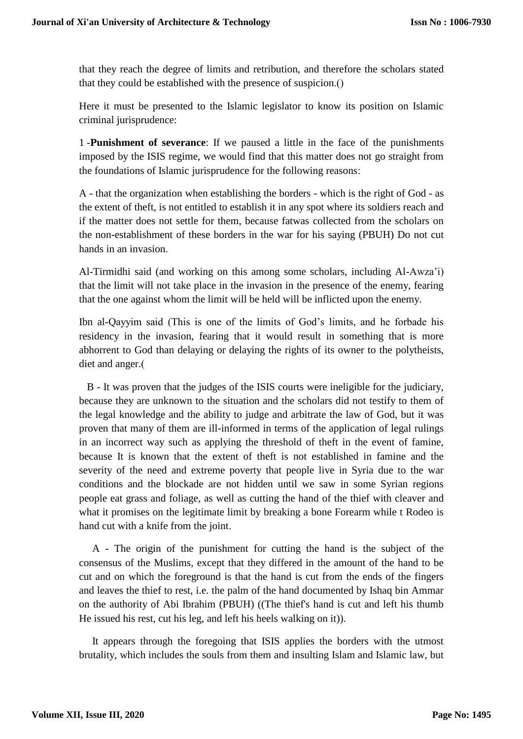that they reach the degree of limits and retribution, and therefore the scholars stated that they could be established with the presence of suspicion.()

Here it must be presented to the Islamic legislator to know its position on Islamic criminal jurisprudence:

1 -**Punishment of severance**: If we paused a little in the face of the punishments imposed by the ISIS regime, we would find that this matter does not go straight from the foundations of Islamic jurisprudence for the following reasons:

A - that the organization when establishing the borders - which is the right of God - as the extent of theft, is not entitled to establish it in any spot where its soldiers reach and if the matter does not settle for them, because fatwas collected from the scholars on the non-establishment of these borders in the war for his saying (PBUH) Do not cut hands in an invasion.

Al-Tirmidhi said (and working on this among some scholars, including Al-Awza'i) that the limit will not take place in the invasion in the presence of the enemy, fearing that the one against whom the limit will be held will be inflicted upon the enemy.

Ibn al-Qayyim said (This is one of the limits of God's limits, and he forbade his residency in the invasion, fearing that it would result in something that is more abhorrent to God than delaying or delaying the rights of its owner to the polytheists, diet and anger.(

B - It was proven that the judges of the ISIS courts were ineligible for the judiciary, because they are unknown to the situation and the scholars did not testify to them of the legal knowledge and the ability to judge and arbitrate the law of God, but it was proven that many of them are ill-informed in terms of the application of legal rulings in an incorrect way such as applying the threshold of theft in the event of famine, because It is known that the extent of theft is not established in famine and the severity of the need and extreme poverty that people live in Syria due to the war conditions and the blockade are not hidden until we saw in some Syrian regions people eat grass and foliage, as well as cutting the hand of the thief with cleaver and what it promises on the legitimate limit by breaking a bone Forearm while t Rodeo is hand cut with a knife from the joint.

A - The origin of the punishment for cutting the hand is the subject of the consensus of the Muslims, except that they differed in the amount of the hand to be cut and on which the foreground is that the hand is cut from the ends of the fingers and leaves the thief to rest, i.e. the palm of the hand documented by Ishaq bin Ammar on the authority of Abi Ibrahim (PBUH) ((The thief's hand is cut and left his thumb He issued his rest, cut his leg, and left his heels walking on it)).

It appears through the foregoing that ISIS applies the borders with the utmost brutality, which includes the souls from them and insulting Islam and Islamic law, but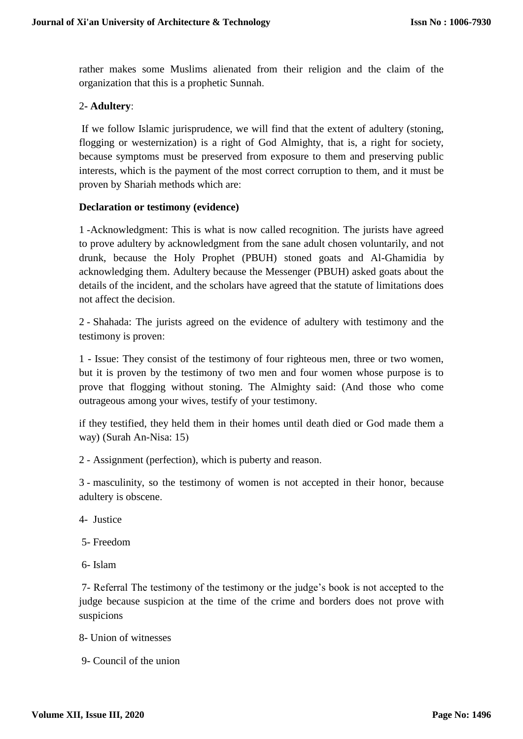rather makes some Muslims alienated from their religion and the claim of the organization that this is a prophetic Sunnah.

## 2**- Adultery**:

If we follow Islamic jurisprudence, we will find that the extent of adultery (stoning, flogging or westernization) is a right of God Almighty, that is, a right for society, because symptoms must be preserved from exposure to them and preserving public interests, which is the payment of the most correct corruption to them, and it must be proven by Shariah methods which are:

#### **Declaration or testimony (evidence)**

1 -Acknowledgment: This is what is now called recognition. The jurists have agreed to prove adultery by acknowledgment from the sane adult chosen voluntarily, and not drunk, because the Holy Prophet (PBUH) stoned goats and Al-Ghamidia by acknowledging them. Adultery because the Messenger (PBUH) asked goats about the details of the incident, and the scholars have agreed that the statute of limitations does not affect the decision.

2 - Shahada: The jurists agreed on the evidence of adultery with testimony and the testimony is proven:

1 - Issue: They consist of the testimony of four righteous men, three or two women, but it is proven by the testimony of two men and four women whose purpose is to prove that flogging without stoning. The Almighty said: (And those who come outrageous among your wives, testify of your testimony.

if they testified, they held them in their homes until death died or God made them a way) (Surah An-Nisa: 15)

2 - Assignment (perfection), which is puberty and reason.

3 - masculinity, so the testimony of women is not accepted in their honor, because adultery is obscene.

- 4- Justice
- 5- Freedom
- 6- Islam

7- Referral The testimony of the testimony or the judge's book is not accepted to the judge because suspicion at the time of the crime and borders does not prove with suspicions

- 8- Union of witnesses
- 9- Council of the union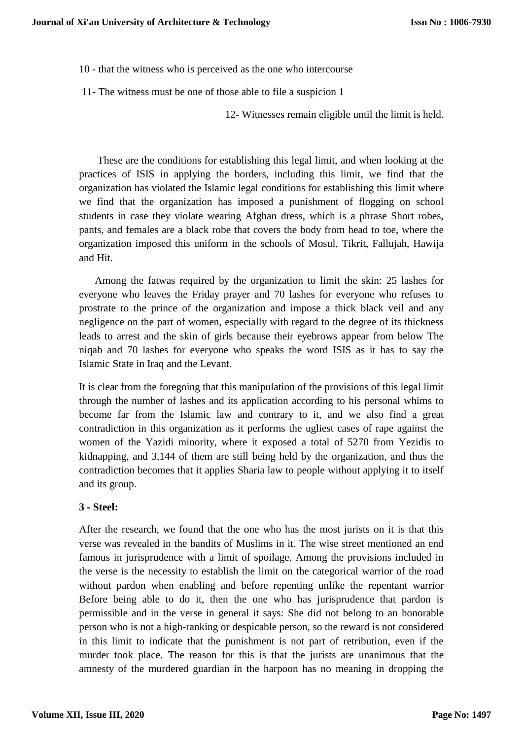10 - that the witness who is perceived as the one who intercourse

11- The witness must be one of those able to file a suspicion 1

12- Witnesses remain eligible until the limit is held.

These are the conditions for establishing this legal limit, and when looking at the practices of ISIS in applying the borders, including this limit, we find that the organization has violated the Islamic legal conditions for establishing this limit where we find that the organization has imposed a punishment of flogging on school students in case they violate wearing Afghan dress, which is a phrase Short robes, pants, and females are a black robe that covers the body from head to toe, where the organization imposed this uniform in the schools of Mosul, Tikrit, Fallujah, Hawija and Hit.

 Among the fatwas required by the organization to limit the skin: 25 lashes for everyone who leaves the Friday prayer and 70 lashes for everyone who refuses to prostrate to the prince of the organization and impose a thick black veil and any negligence on the part of women, especially with regard to the degree of its thickness leads to arrest and the skin of girls because their eyebrows appear from below The niqab and 70 lashes for everyone who speaks the word ISIS as it has to say the Islamic State in Iraq and the Levant.

It is clear from the foregoing that this manipulation of the provisions of this legal limit through the number of lashes and its application according to his personal whims to become far from the Islamic law and contrary to it, and we also find a great contradiction in this organization as it performs the ugliest cases of rape against the women of the Yazidi minority, where it exposed a total of 5270 from Yezidis to kidnapping, and 3,144 of them are still being held by the organization, and thus the contradiction becomes that it applies Sharia law to people without applying it to itself and its group.

## **3 - Steel:**

After the research, we found that the one who has the most jurists on it is that this verse was revealed in the bandits of Muslims in it. The wise street mentioned an end famous in jurisprudence with a limit of spoilage. Among the provisions included in the verse is the necessity to establish the limit on the categorical warrior of the road without pardon when enabling and before repenting unlike the repentant warrior Before being able to do it, then the one who has jurisprudence that pardon is permissible and in the verse in general it says: She did not belong to an honorable person who is not a high-ranking or despicable person, so the reward is not considered in this limit to indicate that the punishment is not part of retribution, even if the murder took place. The reason for this is that the jurists are unanimous that the amnesty of the murdered guardian in the harpoon has no meaning in dropping the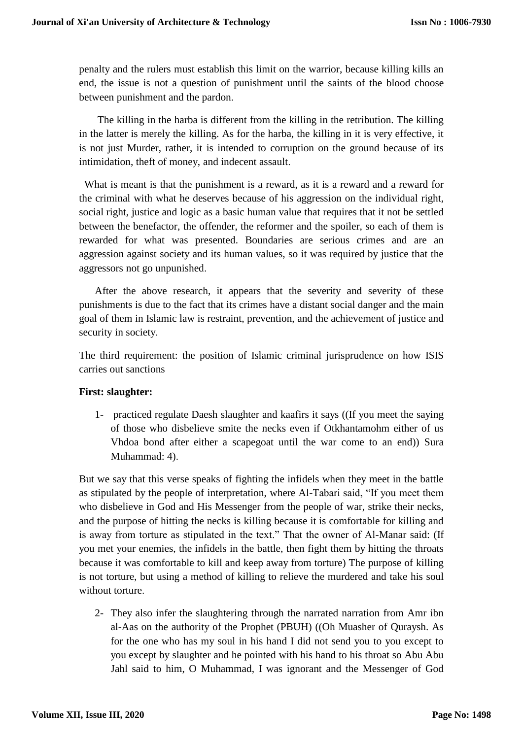penalty and the rulers must establish this limit on the warrior, because killing kills an end, the issue is not a question of punishment until the saints of the blood choose between punishment and the pardon.

 The killing in the harba is different from the killing in the retribution. The killing in the latter is merely the killing. As for the harba, the killing in it is very effective, it is not just Murder, rather, it is intended to corruption on the ground because of its intimidation, theft of money, and indecent assault.

What is meant is that the punishment is a reward, as it is a reward and a reward for the criminal with what he deserves because of his aggression on the individual right, social right, justice and logic as a basic human value that requires that it not be settled between the benefactor, the offender, the reformer and the spoiler, so each of them is rewarded for what was presented. Boundaries are serious crimes and are an aggression against society and its human values, so it was required by justice that the aggressors not go unpunished.

After the above research, it appears that the severity and severity of these punishments is due to the fact that its crimes have a distant social danger and the main goal of them in Islamic law is restraint, prevention, and the achievement of justice and security in society.

The third requirement: the position of Islamic criminal jurisprudence on how ISIS carries out sanctions

#### **First: slaughter:**

1- practiced regulate Daesh slaughter and kaafirs it says ((If you meet the saying of those who disbelieve smite the necks even if Otkhantamohm either of us Vhdoa bond after either a scapegoat until the war come to an end)) Sura Muhammad: 4).

But we say that this verse speaks of fighting the infidels when they meet in the battle as stipulated by the people of interpretation, where Al-Tabari said, "If you meet them who disbelieve in God and His Messenger from the people of war, strike their necks, and the purpose of hitting the necks is killing because it is comfortable for killing and is away from torture as stipulated in the text." That the owner of Al-Manar said: (If you met your enemies, the infidels in the battle, then fight them by hitting the throats because it was comfortable to kill and keep away from torture) The purpose of killing is not torture, but using a method of killing to relieve the murdered and take his soul without torture.

2- They also infer the slaughtering through the narrated narration from Amr ibn al-Aas on the authority of the Prophet (PBUH) ((Oh Muasher of Quraysh. As for the one who has my soul in his hand I did not send you to you except to you except by slaughter and he pointed with his hand to his throat so Abu Abu Jahl said to him, O Muhammad, I was ignorant and the Messenger of God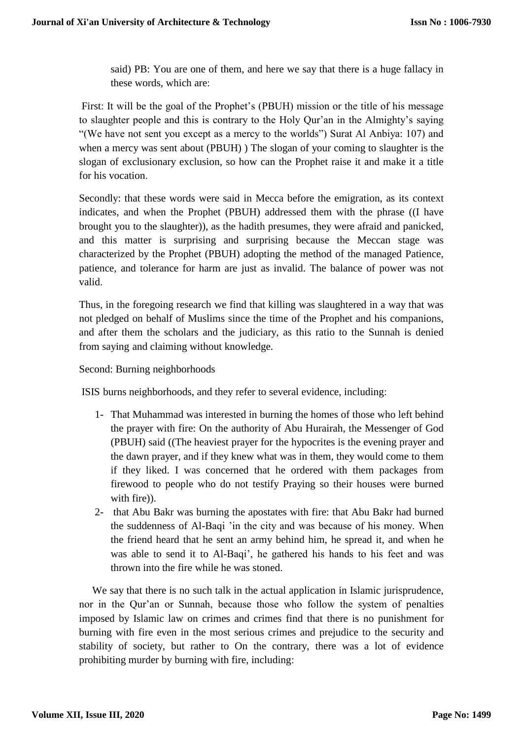said) PB: You are one of them, and here we say that there is a huge fallacy in these words, which are:

First: It will be the goal of the Prophet's (PBUH) mission or the title of his message to slaughter people and this is contrary to the Holy Qur'an in the Almighty's saying "(We have not sent you except as a mercy to the worlds") Surat Al Anbiya: 107) and when a mercy was sent about (PBUH) ) The slogan of your coming to slaughter is the slogan of exclusionary exclusion, so how can the Prophet raise it and make it a title for his vocation.

Secondly: that these words were said in Mecca before the emigration, as its context indicates, and when the Prophet (PBUH) addressed them with the phrase ((I have brought you to the slaughter)), as the hadith presumes, they were afraid and panicked, and this matter is surprising and surprising because the Meccan stage was characterized by the Prophet (PBUH) adopting the method of the managed Patience, patience, and tolerance for harm are just as invalid. The balance of power was not valid.

Thus, in the foregoing research we find that killing was slaughtered in a way that was not pledged on behalf of Muslims since the time of the Prophet and his companions, and after them the scholars and the judiciary, as this ratio to the Sunnah is denied from saying and claiming without knowledge.

Second: Burning neighborhoods

ISIS burns neighborhoods, and they refer to several evidence, including:

- 1- That Muhammad was interested in burning the homes of those who left behind the prayer with fire: On the authority of Abu Hurairah, the Messenger of God (PBUH) said ((The heaviest prayer for the hypocrites is the evening prayer and the dawn prayer, and if they knew what was in them, they would come to them if they liked. I was concerned that he ordered with them packages from firewood to people who do not testify Praying so their houses were burned with fire)).
- 2- that Abu Bakr was burning the apostates with fire: that Abu Bakr had burned the suddenness of Al-Baqi 'in the city and was because of his money. When the friend heard that he sent an army behind him, he spread it, and when he was able to send it to Al-Baqi', he gathered his hands to his feet and was thrown into the fire while he was stoned.

We say that there is no such talk in the actual application in Islamic jurisprudence, nor in the Qur'an or Sunnah, because those who follow the system of penalties imposed by Islamic law on crimes and crimes find that there is no punishment for burning with fire even in the most serious crimes and prejudice to the security and stability of society, but rather to On the contrary, there was a lot of evidence prohibiting murder by burning with fire, including: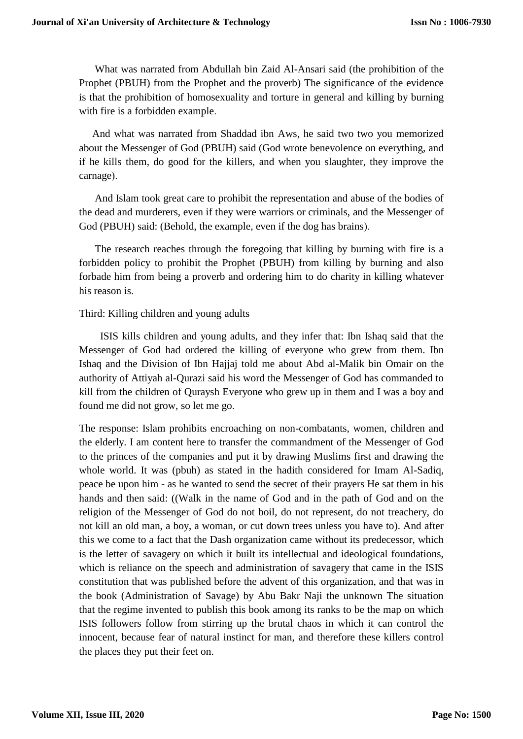What was narrated from Abdullah bin Zaid Al-Ansari said (the prohibition of the Prophet (PBUH) from the Prophet and the proverb) The significance of the evidence is that the prohibition of homosexuality and torture in general and killing by burning with fire is a forbidden example.

And what was narrated from Shaddad ibn Aws, he said two two you memorized about the Messenger of God (PBUH) said (God wrote benevolence on everything, and if he kills them, do good for the killers, and when you slaughter, they improve the carnage).

And Islam took great care to prohibit the representation and abuse of the bodies of the dead and murderers, even if they were warriors or criminals, and the Messenger of God (PBUH) said: (Behold, the example, even if the dog has brains).

The research reaches through the foregoing that killing by burning with fire is a forbidden policy to prohibit the Prophet (PBUH) from killing by burning and also forbade him from being a proverb and ordering him to do charity in killing whatever his reason is.

#### Third: Killing children and young adults

ISIS kills children and young adults, and they infer that: Ibn Ishaq said that the Messenger of God had ordered the killing of everyone who grew from them. Ibn Ishaq and the Division of Ibn Hajjaj told me about Abd al-Malik bin Omair on the authority of Attiyah al-Qurazi said his word the Messenger of God has commanded to kill from the children of Quraysh Everyone who grew up in them and I was a boy and found me did not grow, so let me go.

The response: Islam prohibits encroaching on non-combatants, women, children and the elderly. I am content here to transfer the commandment of the Messenger of God to the princes of the companies and put it by drawing Muslims first and drawing the whole world. It was (pbuh) as stated in the hadith considered for Imam Al-Sadiq, peace be upon him - as he wanted to send the secret of their prayers He sat them in his hands and then said: ((Walk in the name of God and in the path of God and on the religion of the Messenger of God do not boil, do not represent, do not treachery, do not kill an old man, a boy, a woman, or cut down trees unless you have to). And after this we come to a fact that the Dash organization came without its predecessor, which is the letter of savagery on which it built its intellectual and ideological foundations, which is reliance on the speech and administration of savagery that came in the ISIS constitution that was published before the advent of this organization, and that was in the book (Administration of Savage) by Abu Bakr Naji the unknown The situation that the regime invented to publish this book among its ranks to be the map on which ISIS followers follow from stirring up the brutal chaos in which it can control the innocent, because fear of natural instinct for man, and therefore these killers control the places they put their feet on.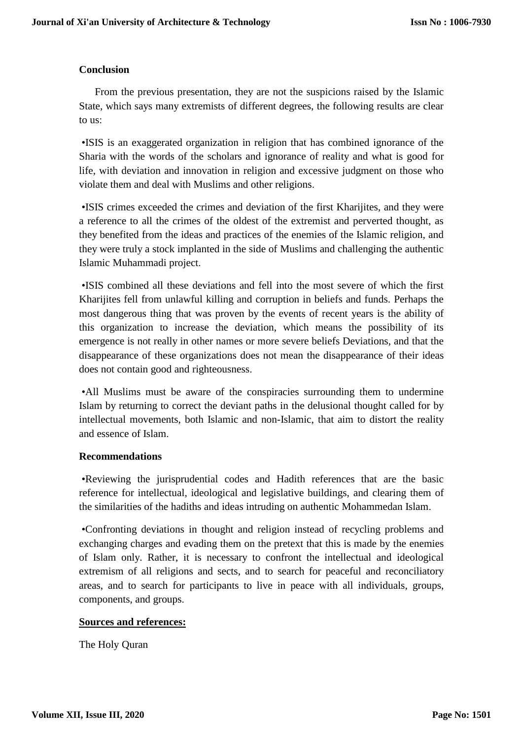## **Conclusion**

From the previous presentation, they are not the suspicions raised by the Islamic State, which says many extremists of different degrees, the following results are clear to us:

 •ISIS is an exaggerated organization in religion that has combined ignorance of the Sharia with the words of the scholars and ignorance of reality and what is good for life, with deviation and innovation in religion and excessive judgment on those who violate them and deal with Muslims and other religions.

 •ISIS crimes exceeded the crimes and deviation of the first Kharijites, and they were a reference to all the crimes of the oldest of the extremist and perverted thought, as they benefited from the ideas and practices of the enemies of the Islamic religion, and they were truly a stock implanted in the side of Muslims and challenging the authentic Islamic Muhammadi project.

 •ISIS combined all these deviations and fell into the most severe of which the first Kharijites fell from unlawful killing and corruption in beliefs and funds. Perhaps the most dangerous thing that was proven by the events of recent years is the ability of this organization to increase the deviation, which means the possibility of its emergence is not really in other names or more severe beliefs Deviations, and that the disappearance of these organizations does not mean the disappearance of their ideas does not contain good and righteousness.

 •All Muslims must be aware of the conspiracies surrounding them to undermine Islam by returning to correct the deviant paths in the delusional thought called for by intellectual movements, both Islamic and non-Islamic, that aim to distort the reality and essence of Islam.

#### **Recommendations**

 •Reviewing the jurisprudential codes and Hadith references that are the basic reference for intellectual, ideological and legislative buildings, and clearing them of the similarities of the hadiths and ideas intruding on authentic Mohammedan Islam.

 •Confronting deviations in thought and religion instead of recycling problems and exchanging charges and evading them on the pretext that this is made by the enemies of Islam only. Rather, it is necessary to confront the intellectual and ideological extremism of all religions and sects, and to search for peaceful and reconciliatory areas, and to search for participants to live in peace with all individuals, groups, components, and groups.

## **Sources and references:**

The Holy Quran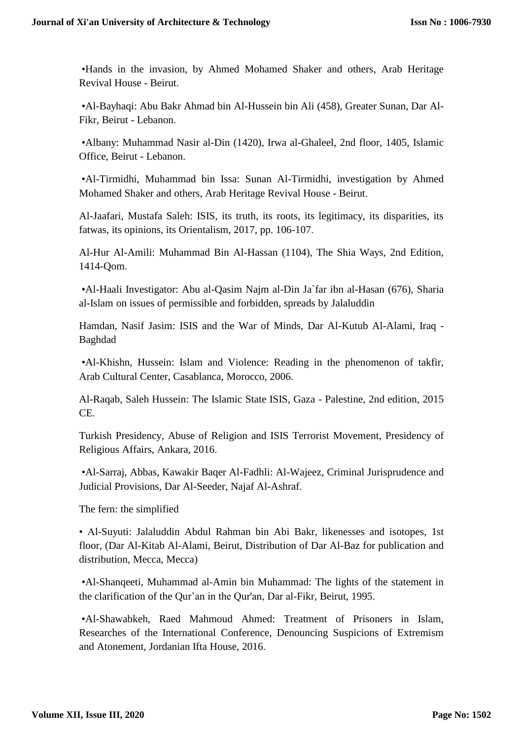•Hands in the invasion, by Ahmed Mohamed Shaker and others, Arab Heritage Revival House - Beirut.

 •Al-Bayhaqi: Abu Bakr Ahmad bin Al-Hussein bin Ali (458), Greater Sunan, Dar Al-Fikr, Beirut - Lebanon.

 •Albany: Muhammad Nasir al-Din (1420), Irwa al-Ghaleel, 2nd floor, 1405, Islamic Office, Beirut - Lebanon.

 •Al-Tirmidhi, Muhammad bin Issa: Sunan Al-Tirmidhi, investigation by Ahmed Mohamed Shaker and others, Arab Heritage Revival House - Beirut.

Al-Jaafari, Mustafa Saleh: ISIS, its truth, its roots, its legitimacy, its disparities, its fatwas, its opinions, its Orientalism, 2017, pp. 106-107.

Al-Hur Al-Amili: Muhammad Bin Al-Hassan (1104), The Shia Ways, 2nd Edition, 1414-Qom.

 •Al-Haali Investigator: Abu al-Qasim Najm al-Din Ja`far ibn al-Hasan (676), Sharia al-Islam on issues of permissible and forbidden, spreads by Jalaluddin

Hamdan, Nasif Jasim: ISIS and the War of Minds, Dar Al-Kutub Al-Alami, Iraq - Baghdad

 •Al-Khishn, Hussein: Islam and Violence: Reading in the phenomenon of takfir, Arab Cultural Center, Casablanca, Morocco, 2006.

Al-Raqab, Saleh Hussein: The Islamic State ISIS, Gaza - Palestine, 2nd edition, 2015 CE.

Turkish Presidency, Abuse of Religion and ISIS Terrorist Movement, Presidency of Religious Affairs, Ankara, 2016.

 •Al-Sarraj, Abbas, Kawakir Baqer Al-Fadhli: Al-Wajeez, Criminal Jurisprudence and Judicial Provisions, Dar Al-Seeder, Najaf Al-Ashraf.

The fern: the simplified

• Al-Suyuti: Jalaluddin Abdul Rahman bin Abi Bakr, likenesses and isotopes, 1st floor, (Dar Al-Kitab Al-Alami, Beirut, Distribution of Dar Al-Baz for publication and distribution, Mecca, Mecca)

 •Al-Shanqeeti, Muhammad al-Amin bin Muhammad: The lights of the statement in the clarification of the Qur'an in the Qur'an, Dar al-Fikr, Beirut, 1995.

 •Al-Shawabkeh, Raed Mahmoud Ahmed: Treatment of Prisoners in Islam, Researches of the International Conference, Denouncing Suspicions of Extremism and Atonement, Jordanian Ifta House, 2016.